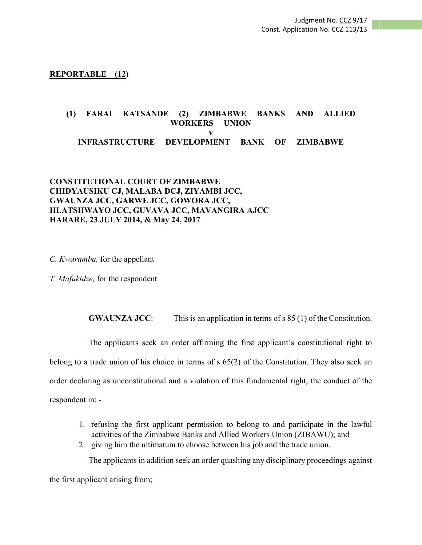**REPORTABLE (12)**

# **(1) FARAI KATSANDE (2) ZIMBABWE BANKS AND ALLIED WORKERS UNION v INFRASTRUCTURE DEVELOPMENT BANK OF ZIMBABWE**

## **CONSTITUTIONAL COURT OF ZIMBABWE CHIDYAUSIKU CJ, MALABA DCJ, ZIYAMBI JCC, GWAUNZA JCC, GARWE JCC, GOWORA JCC, HLATSHWAYO JCC, GUVAVA JCC, MAVANGIRA AJCC HARARE, 23 JULY 2014, & May 24, 2017**

*C. Kwaramba,* for the appellant

*T. Mafukidze,* for the respondent

**GWAUNZA JCC**: This is an application in terms of s 85 (1) of the Constitution.

The applicants seek an order affirming the first applicant's constitutional right to belong to a trade union of his choice in terms of s 65(2) of the Constitution. They also seek an order declaring as unconstitutional and a violation of this fundamental right, the conduct of the respondent in: -

- 1. refusing the first applicant permission to belong to and participate in the lawful activities of the Zimbabwe Banks and Allied Workers Union (ZIBAWU); and
- 2. giving him the ultimatum to choose between his job and the trade union.

The applicants in addition seek an order quashing any disciplinary proceedings against

the first applicant arising from;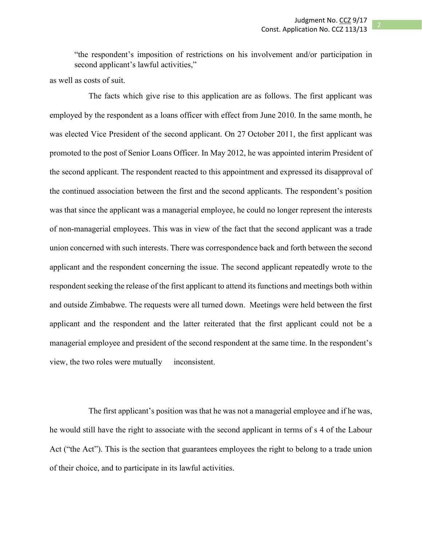"the respondent's imposition of restrictions on his involvement and/or participation in second applicant's lawful activities,"

as well as costs of suit.

The facts which give rise to this application are as follows. The first applicant was employed by the respondent as a loans officer with effect from June 2010. In the same month, he was elected Vice President of the second applicant. On 27 October 2011, the first applicant was promoted to the post of Senior Loans Officer. In May 2012, he was appointed interim President of the second applicant. The respondent reacted to this appointment and expressed its disapproval of the continued association between the first and the second applicants. The respondent's position was that since the applicant was a managerial employee, he could no longer represent the interests of non-managerial employees. This was in view of the fact that the second applicant was a trade union concerned with such interests. There was correspondence back and forth between the second applicant and the respondent concerning the issue. The second applicant repeatedly wrote to the respondent seeking the release of the first applicant to attend its functions and meetings both within and outside Zimbabwe. The requests were all turned down. Meetings were held between the first applicant and the respondent and the latter reiterated that the first applicant could not be a managerial employee and president of the second respondent at the same time. In the respondent's view, the two roles were mutually inconsistent.

The first applicant's position was that he was not a managerial employee and if he was, he would still have the right to associate with the second applicant in terms of s 4 of the Labour Act ("the Act"). This is the section that guarantees employees the right to belong to a trade union of their choice, and to participate in its lawful activities.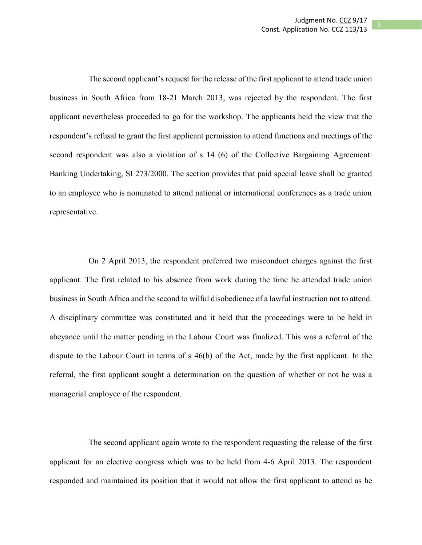The second applicant's request for the release of the first applicant to attend trade union business in South Africa from 18-21 March 2013, was rejected by the respondent. The first applicant nevertheless proceeded to go for the workshop. The applicants held the view that the respondent's refusal to grant the first applicant permission to attend functions and meetings of the second respondent was also a violation of s 14 (6) of the Collective Bargaining Agreement: Banking Undertaking, SI 273/2000. The section provides that paid special leave shall be granted to an employee who is nominated to attend national or international conferences as a trade union representative.

On 2 April 2013, the respondent preferred two misconduct charges against the first applicant. The first related to his absence from work during the time he attended trade union business in South Africa and the second to wilful disobedience of a lawful instruction not to attend. A disciplinary committee was constituted and it held that the proceedings were to be held in abeyance until the matter pending in the Labour Court was finalized. This was a referral of the dispute to the Labour Court in terms of s 46(b) of the Act, made by the first applicant. In the referral, the first applicant sought a determination on the question of whether or not he was a managerial employee of the respondent.

The second applicant again wrote to the respondent requesting the release of the first applicant for an elective congress which was to be held from 4-6 April 2013. The respondent responded and maintained its position that it would not allow the first applicant to attend as he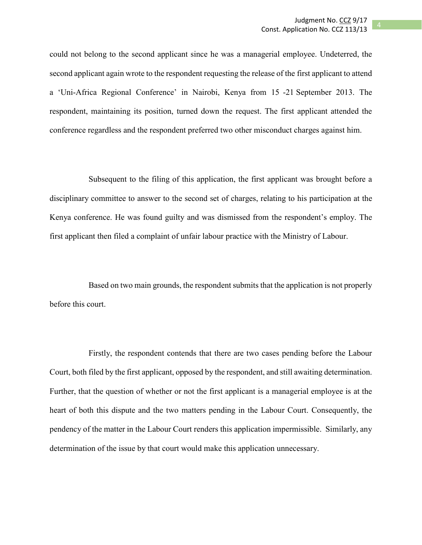could not belong to the second applicant since he was a managerial employee. Undeterred, the second applicant again wrote to the respondent requesting the release of the first applicant to attend a 'Uni-Africa Regional Conference' in Nairobi, Kenya from 15 -21 September 2013. The respondent, maintaining its position, turned down the request. The first applicant attended the conference regardless and the respondent preferred two other misconduct charges against him.

Subsequent to the filing of this application, the first applicant was brought before a disciplinary committee to answer to the second set of charges, relating to his participation at the Kenya conference. He was found guilty and was dismissed from the respondent's employ. The first applicant then filed a complaint of unfair labour practice with the Ministry of Labour.

Based on two main grounds, the respondent submits that the application is not properly before this court.

Firstly, the respondent contends that there are two cases pending before the Labour Court, both filed by the first applicant, opposed by the respondent, and still awaiting determination. Further, that the question of whether or not the first applicant is a managerial employee is at the heart of both this dispute and the two matters pending in the Labour Court. Consequently, the pendency of the matter in the Labour Court renders this application impermissible. Similarly, any determination of the issue by that court would make this application unnecessary.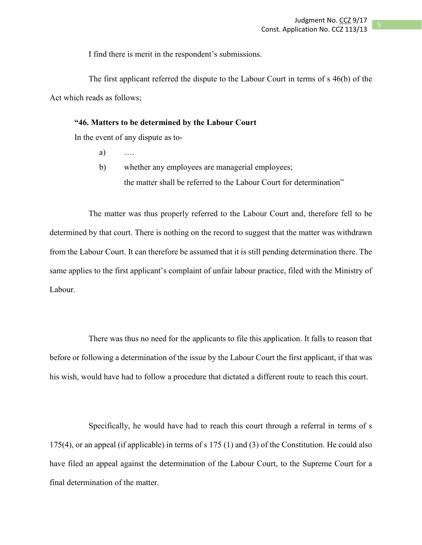I find there is merit in the respondent's submissions.

The first applicant referred the dispute to the Labour Court in terms of s 46(b) of the Act which reads as follows;

## **"46. Matters to be determined by the Labour Court**

In the event of any dispute as to-

- a) ….
- b) whether any employees are managerial employees; the matter shall be referred to the Labour Court for determination"

The matter was thus properly referred to the Labour Court and, therefore fell to be determined by that court. There is nothing on the record to suggest that the matter was withdrawn from the Labour Court. It can therefore be assumed that it is still pending determination there. The same applies to the first applicant's complaint of unfair labour practice, filed with the Ministry of Labour.

There was thus no need for the applicants to file this application. It falls to reason that before or following a determination of the issue by the Labour Court the first applicant, if that was his wish, would have had to follow a procedure that dictated a different route to reach this court.

Specifically, he would have had to reach this court through a referral in terms of s 175(4), or an appeal (if applicable) in terms of s 175 (1) and (3) of the Constitution. He could also have filed an appeal against the determination of the Labour Court, to the Supreme Court for a final determination of the matter.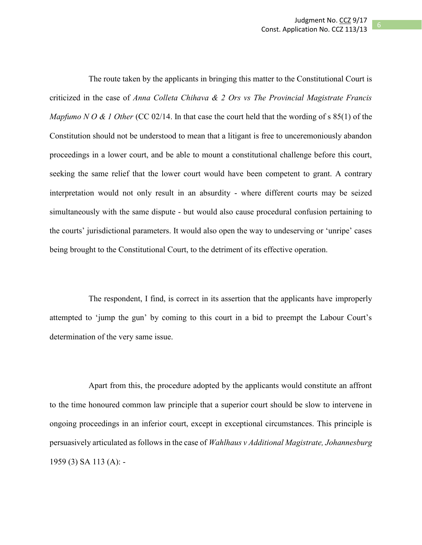The route taken by the applicants in bringing this matter to the Constitutional Court is criticized in the case of *Anna Colleta Chihava & 2 Ors vs The Provincial Magistrate Francis Mapfumo N O & 1 Other* (CC 02/14. In that case the court held that the wording of s 85(1) of the Constitution should not be understood to mean that a litigant is free to unceremoniously abandon proceedings in a lower court, and be able to mount a constitutional challenge before this court, seeking the same relief that the lower court would have been competent to grant. A contrary interpretation would not only result in an absurdity - where different courts may be seized simultaneously with the same dispute - but would also cause procedural confusion pertaining to the courts' jurisdictional parameters. It would also open the way to undeserving or 'unripe' cases being brought to the Constitutional Court, to the detriment of its effective operation.

The respondent, I find, is correct in its assertion that the applicants have improperly attempted to 'jump the gun' by coming to this court in a bid to preempt the Labour Court's determination of the very same issue.

Apart from this, the procedure adopted by the applicants would constitute an affront to the time honoured common law principle that a superior court should be slow to intervene in ongoing proceedings in an inferior court, except in exceptional circumstances. This principle is persuasively articulated as follows in the case of *Wahlhaus v Additional Magistrate, Johannesburg*  1959 (3) SA 113 (A): -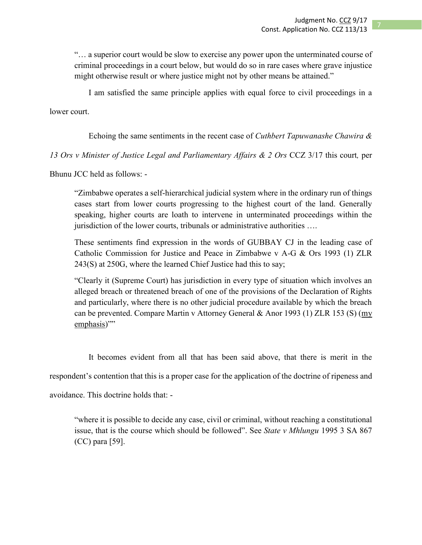"… a superior court would be slow to exercise any power upon the unterminated course of criminal proceedings in a court below, but would do so in rare cases where grave injustice might otherwise result or where justice might not by other means be attained."

I am satisfied the same principle applies with equal force to civil proceedings in a

lower court.

Echoing the same sentiments in the recent case of *Cuthbert Tapuwanashe Chawira &* 

*13 Ors v Minister of Justice Legal and Parliamentary Affairs & 2 Ors* CCZ 3/17 this court*,* per

Bhunu JCC held as follows: -

"Zimbabwe operates a self-hierarchical judicial system where in the ordinary run of things cases start from lower courts progressing to the highest court of the land. Generally speaking, higher courts are loath to intervene in unterminated proceedings within the jurisdiction of the lower courts, tribunals or administrative authorities ….

These sentiments find expression in the words of GUBBAY CJ in the leading case of Catholic Commission for Justice and Peace in Zimbabwe v A-G & Ors 1993 (1) ZLR 243(S) at 250G, where the learned Chief Justice had this to say;

"Clearly it (Supreme Court) has jurisdiction in every type of situation which involves an alleged breach or threatened breach of one of the provisions of the Declaration of Rights and particularly, where there is no other judicial procedure available by which the breach can be prevented. Compare Martin v Attorney General & Anor 1993 (1) ZLR 153 (S) (my emphasis)"

It becomes evident from all that has been said above, that there is merit in the respondent's contention that this is a proper case for the application of the doctrine of ripeness and avoidance. This doctrine holds that: -

"where it is possible to decide any case, civil or criminal, without reaching a constitutional issue, that is the course which should be followed". See *State v Mhlungu* 1995 3 SA 867 (CC) para [59].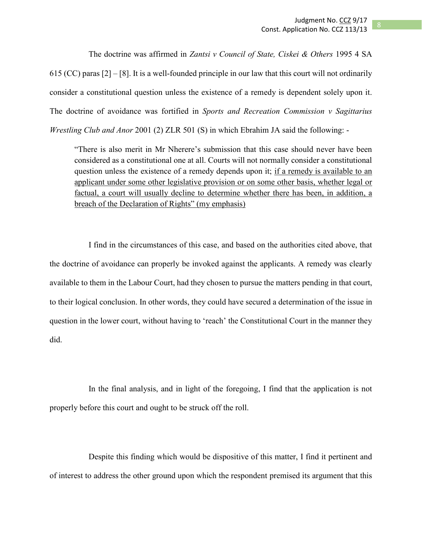The doctrine was affirmed in *Zantsi v Council of State, Ciskei & Others* 1995 4 SA 615 (CC) paras  $[2] - [8]$ . It is a well-founded principle in our law that this court will not ordinarily consider a constitutional question unless the existence of a remedy is dependent solely upon it. The doctrine of avoidance was fortified in *Sports and Recreation Commission v Sagittarius Wrestling Club and Anor* 2001 (2) ZLR 501 (S) in which Ebrahim JA said the following: -

"There is also merit in Mr Nherere's submission that this case should never have been considered as a constitutional one at all. Courts will not normally consider a constitutional question unless the existence of a remedy depends upon it; if a remedy is available to an applicant under some other legislative provision or on some other basis, whether legal or factual, a court will usually decline to determine whether there has been, in addition, a breach of the Declaration of Rights" (my emphasis)

I find in the circumstances of this case, and based on the authorities cited above, that the doctrine of avoidance can properly be invoked against the applicants. A remedy was clearly available to them in the Labour Court, had they chosen to pursue the matters pending in that court, to their logical conclusion. In other words, they could have secured a determination of the issue in question in the lower court, without having to 'reach' the Constitutional Court in the manner they did.

In the final analysis, and in light of the foregoing, I find that the application is not properly before this court and ought to be struck off the roll.

Despite this finding which would be dispositive of this matter, I find it pertinent and of interest to address the other ground upon which the respondent premised its argument that this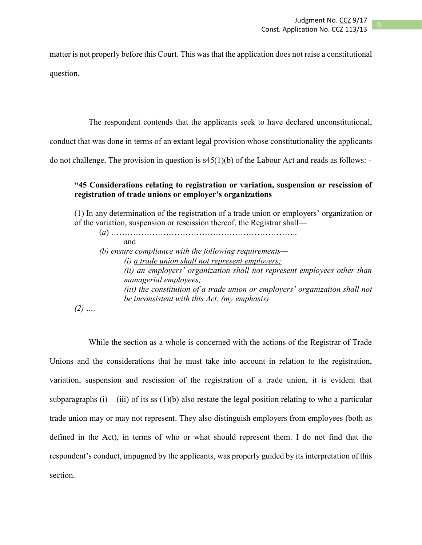matter is not properly before this Court. This was that the application does not raise a constitutional question.

The respondent contends that the applicants seek to have declared unconstitutional,

conduct that was done in terms of an extant legal provision whose constitutionality the applicants

do not challenge. The provision in question is s45(1)(b) of the Labour Act and reads as follows: -

## **"45 Considerations relating to registration or variation, suspension or rescission of registration of trade unions or employer's organizations**

(1) In any determination of the registration of a trade union or employers' organization or of the variation, suspension or rescission thereof, the Registrar shall—

| and                                                                          |
|------------------------------------------------------------------------------|
| (b) ensure compliance with the following requirements—                       |
| $(i)$ a trade union shall not represent employers;                           |
| (ii) an employers' organization shall not represent employees other than     |
| managerial employees;                                                        |
| (iii) the constitution of a trade union or employers' organization shall not |
| be inconsistent with this Act. (my emphasis)                                 |
|                                                                              |

*(2) ….*

While the section as a whole is concerned with the actions of the Registrar of Trade Unions and the considerations that he must take into account in relation to the registration, variation, suspension and rescission of the registration of a trade union, it is evident that subparagraphs (i) – (iii) of its ss (1)(b) also restate the legal position relating to who a particular trade union may or may not represent. They also distinguish employers from employees (both as defined in the Act), in terms of who or what should represent them. I do not find that the respondent's conduct, impugned by the applicants, was properly guided by its interpretation of this section.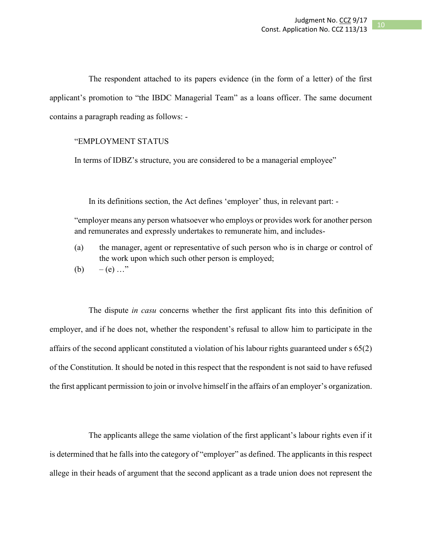The respondent attached to its papers evidence (in the form of a letter) of the first applicant's promotion to "the IBDC Managerial Team" as a loans officer. The same document contains a paragraph reading as follows: -

## "EMPLOYMENT STATUS

In terms of IDBZ's structure, you are considered to be a managerial employee"

In its definitions section, the Act defines 'employer' thus, in relevant part: -

"employer means any person whatsoever who employs or provides work for another person and remunerates and expressly undertakes to remunerate him, and includes-

- (a) the manager, agent or representative of such person who is in charge or control of the work upon which such other person is employed;
- (b) (e)  $\ldots$ "

The dispute *in casu* concerns whether the first applicant fits into this definition of employer, and if he does not, whether the respondent's refusal to allow him to participate in the affairs of the second applicant constituted a violation of his labour rights guaranteed under s 65(2) of the Constitution. It should be noted in this respect that the respondent is not said to have refused the first applicant permission to join or involve himself in the affairs of an employer's organization.

The applicants allege the same violation of the first applicant's labour rights even if it is determined that he falls into the category of "employer" as defined. The applicants in this respect allege in their heads of argument that the second applicant as a trade union does not represent the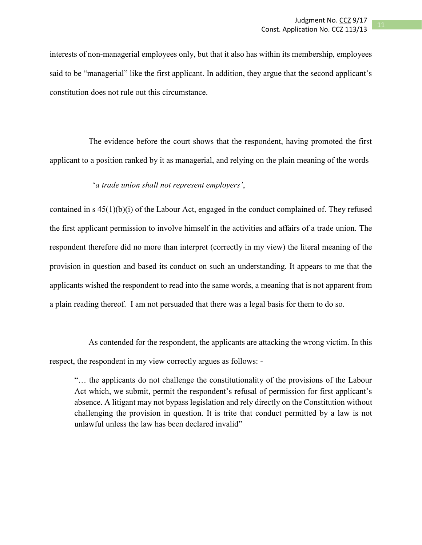interests of non-managerial employees only, but that it also has within its membership, employees said to be "managerial" like the first applicant. In addition, they argue that the second applicant's constitution does not rule out this circumstance.

The evidence before the court shows that the respondent, having promoted the first applicant to a position ranked by it as managerial, and relying on the plain meaning of the words

#### '*a trade union shall not represent employers'*,

contained in s 45(1)(b)(i) of the Labour Act, engaged in the conduct complained of. They refused the first applicant permission to involve himself in the activities and affairs of a trade union. The respondent therefore did no more than interpret (correctly in my view) the literal meaning of the provision in question and based its conduct on such an understanding. It appears to me that the applicants wished the respondent to read into the same words, a meaning that is not apparent from a plain reading thereof. I am not persuaded that there was a legal basis for them to do so.

As contended for the respondent, the applicants are attacking the wrong victim. In this respect, the respondent in my view correctly argues as follows: -

"… the applicants do not challenge the constitutionality of the provisions of the Labour Act which, we submit, permit the respondent's refusal of permission for first applicant's absence. A litigant may not bypass legislation and rely directly on the Constitution without challenging the provision in question. It is trite that conduct permitted by a law is not unlawful unless the law has been declared invalid"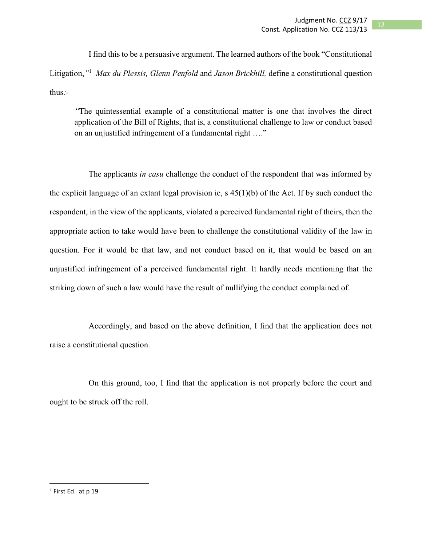I find this to be a persuasive argument. The learned authors of the book "Constitutional Litigation,*"* 1 *Max du Plessis, Glenn Penfold* and *Jason Brickhill,* define a constitutional question thus*:-*

*"*The quintessential example of a constitutional matter is one that involves the direct application of the Bill of Rights, that is, a constitutional challenge to law or conduct based on an unjustified infringement of a fundamental right …."

The applicants *in casu* challenge the conduct of the respondent that was informed by the explicit language of an extant legal provision ie,  $s$  45(1)(b) of the Act. If by such conduct the respondent, in the view of the applicants, violated a perceived fundamental right of theirs, then the appropriate action to take would have been to challenge the constitutional validity of the law in question. For it would be that law, and not conduct based on it, that would be based on an unjustified infringement of a perceived fundamental right. It hardly needs mentioning that the striking down of such a law would have the result of nullifying the conduct complained of.

Accordingly, and based on the above definition, I find that the application does not raise a constitutional question.

On this ground, too, I find that the application is not properly before the court and ought to be struck off the roll.

 $\overline{\phantom{a}}$ 

*<sup>1</sup>* First Ed. at p 19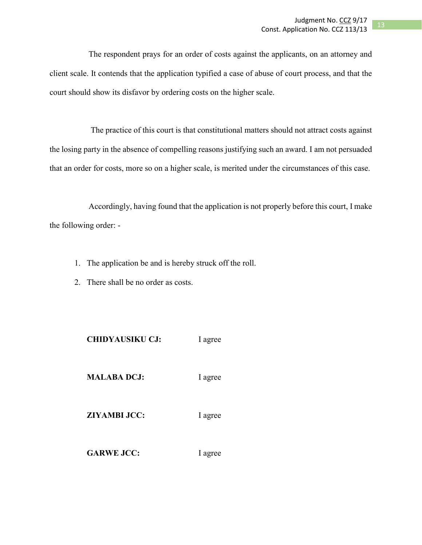The respondent prays for an order of costs against the applicants, on an attorney and client scale. It contends that the application typified a case of abuse of court process, and that the court should show its disfavor by ordering costs on the higher scale.

The practice of this court is that constitutional matters should not attract costs against the losing party in the absence of compelling reasons justifying such an award. I am not persuaded that an order for costs, more so on a higher scale, is merited under the circumstances of this case.

Accordingly, having found that the application is not properly before this court, I make the following order: -

- 1. The application be and is hereby struck off the roll.
- 2. There shall be no order as costs.

| <b>CHIDYAUSIKU CJ:</b> | I agree |
|------------------------|---------|
| <b>MALABA DCJ:</b>     | I agree |
| <b>ZIYAMBI JCC:</b>    | I agree |
| <b>GARWE JCC:</b>      | I agree |